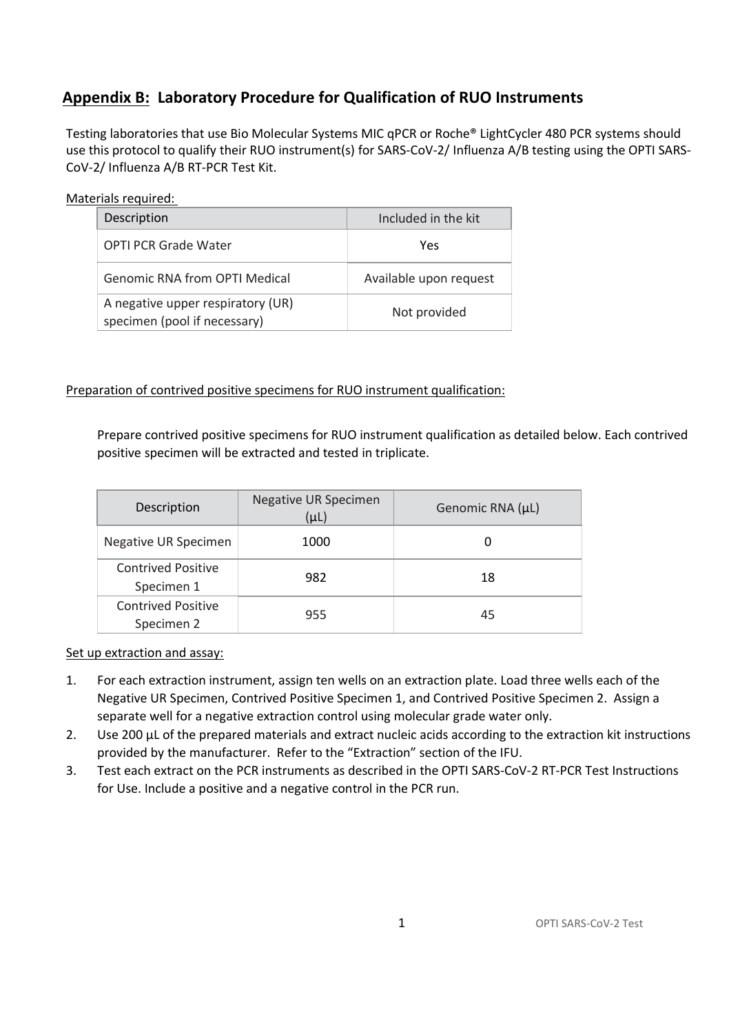# **Appendix B: Laboratory Procedure for Qualification of RUO Instruments**

Testing laboratories that use Bio Molecular Systems MIC qPCR or Roche® LightCycler 480 PCR systems should use this protocol to qualify their RUO instrument(s) for SARS-CoV-2/ Influenza A/B testing using the OPTI SARS-CoV-2/ Influenza A/B RT-PCR Test Kit.

#### Materials required:

| Description                                                       | Included in the kit    |  |
|-------------------------------------------------------------------|------------------------|--|
| <b>OPTI PCR Grade Water</b>                                       | Yes                    |  |
| Genomic RNA from OPTI Medical                                     | Available upon request |  |
| A negative upper respiratory (UR)<br>specimen (pool if necessary) | Not provided           |  |

#### Preparation of contrived positive specimens for RUO instrument qualification:

Prepare contrived positive specimens for RUO instrument qualification as detailed below. Each contrived positive specimen will be extracted and tested in triplicate.

| Description                             | <b>Negative UR Specimen</b><br>$(\mu L)$ | Genomic RNA (µL) |  |
|-----------------------------------------|------------------------------------------|------------------|--|
| Negative UR Specimen                    | 1000                                     | 0                |  |
| <b>Contrived Positive</b><br>Specimen 1 | 982                                      | 18               |  |
| <b>Contrived Positive</b><br>Specimen 2 | 955                                      | 45               |  |

Set up extraction and assay:

- 1. For each extraction instrument, assign ten wells on an extraction plate. Load three wells each of the Negative UR Specimen, Contrived Positive Specimen 1, and Contrived Positive Specimen 2. Assign a separate well for a negative extraction control using molecular grade water only.
- 2. Use 200 µL of the prepared materials and extract nucleic acids according to the extraction kit instructions provided by the manufacturer. Refer to the "Extraction" section of the IFU.
- 3. Test each extract on the PCR instruments as described in the OPTI SARS-CoV-2 RT-PCR Test Instructions for Use. Include a positive and a negative control in the PCR run.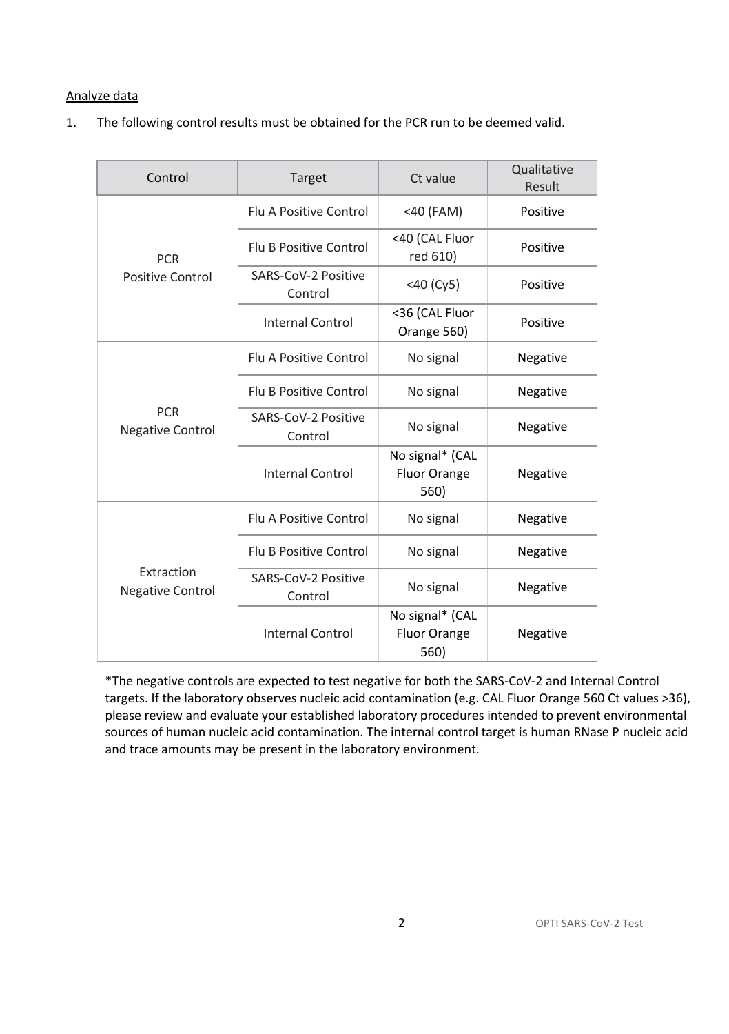### Analyze data

1. The following control results must be obtained for the PCR run to be deemed valid.

| Control                               | Target                         | Ct value                                       | Qualitative<br>Result |
|---------------------------------------|--------------------------------|------------------------------------------------|-----------------------|
| <b>PCR</b><br>Positive Control        | <b>Flu A Positive Control</b>  | $<$ 40 (FAM)                                   | Positive              |
|                                       | <b>Flu B Positive Control</b>  | <40 (CAL Fluor<br>red 610)                     | Positive              |
|                                       | SARS-CoV-2 Positive<br>Control | $<$ 40 (Cy5)                                   | Positive              |
|                                       | Internal Control               | <36 (CAL Fluor<br>Orange 560)                  | Positive              |
| <b>PCR</b><br><b>Negative Control</b> | <b>Flu A Positive Control</b>  | No signal                                      | Negative              |
|                                       | <b>Flu B Positive Control</b>  | No signal                                      | Negative              |
|                                       | SARS-CoV-2 Positive<br>Control | No signal                                      | Negative              |
|                                       | <b>Internal Control</b>        | No signal* (CAL<br><b>Fluor Orange</b><br>560) | Negative              |
| Extraction<br><b>Negative Control</b> | <b>Flu A Positive Control</b>  | No signal                                      | Negative              |
|                                       | <b>Flu B Positive Control</b>  | No signal                                      | Negative              |
|                                       | SARS-CoV-2 Positive<br>Control | No signal                                      | Negative              |
|                                       | Internal Control               | No signal* (CAL<br><b>Fluor Orange</b><br>560) | Negative              |

\*The negative controls are expected to test negative for both the SARS-CoV-2 and Internal Control targets. If the laboratory observes nucleic acid contamination (e.g. CAL Fluor Orange 560 Ct values >36), please review and evaluate your established laboratory procedures intended to prevent environmental sources of human nucleic acid contamination. The internal control target is human RNase P nucleic acid and trace amounts may be present in the laboratory environment.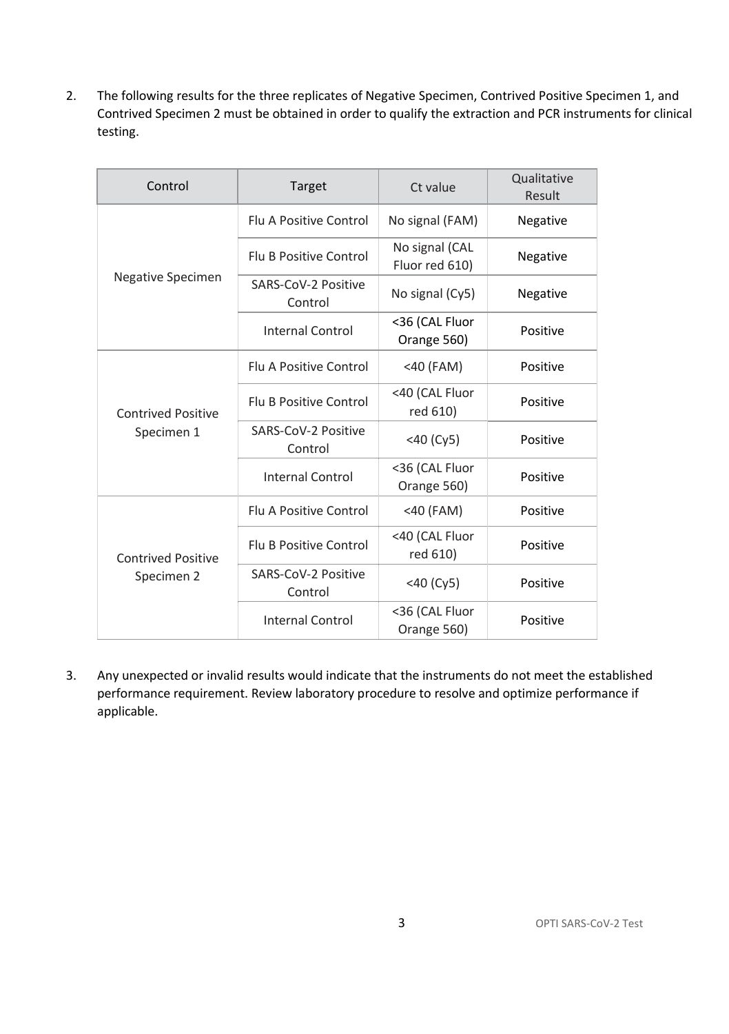2. The following results for the three replicates of Negative Specimen, Contrived Positive Specimen 1, and Contrived Specimen 2 must be obtained in order to qualify the extraction and PCR instruments for clinical testing.

| Control                                 | Target                         | Ct value                         | Qualitative<br>Result |
|-----------------------------------------|--------------------------------|----------------------------------|-----------------------|
| Negative Specimen                       | <b>Flu A Positive Control</b>  | No signal (FAM)                  | Negative              |
|                                         | <b>Flu B Positive Control</b>  | No signal (CAL<br>Fluor red 610) | Negative              |
|                                         | SARS-CoV-2 Positive<br>Control | No signal (Cy5)                  | Negative              |
|                                         | <b>Internal Control</b>        | <36 (CAL Fluor<br>Orange 560)    | Positive              |
| <b>Contrived Positive</b><br>Specimen 1 | Flu A Positive Control         | <40 (FAM)                        | Positive              |
|                                         | <b>Flu B Positive Control</b>  | <40 (CAL Fluor<br>red 610)       | Positive              |
|                                         | SARS-CoV-2 Positive<br>Control | $<$ 40 (Cy5)                     | Positive              |
|                                         | <b>Internal Control</b>        | <36 (CAL Fluor<br>Orange 560)    | Positive              |
| <b>Contrived Positive</b><br>Specimen 2 | <b>Flu A Positive Control</b>  | $<$ 40 (FAM)                     | Positive              |
|                                         | <b>Flu B Positive Control</b>  | <40 (CAL Fluor<br>red 610)       | Positive              |
|                                         | SARS-CoV-2 Positive<br>Control | $<$ 40 (Cy5)                     | Positive              |
|                                         | <b>Internal Control</b>        | <36 (CAL Fluor<br>Orange 560)    | Positive              |

3. Any unexpected or invalid results would indicate that the instruments do not meet the established performance requirement. Review laboratory procedure to resolve and optimize performance if applicable.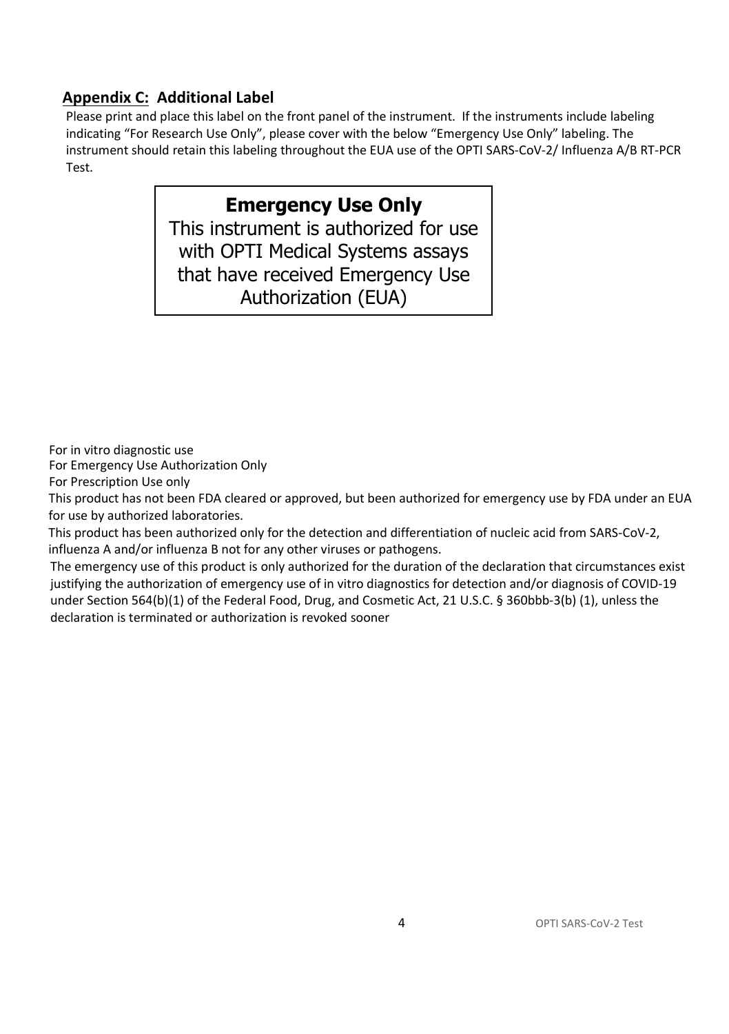## **Appendix C: Additional Label**

Please print and place this label on the front panel of the instrument. If the instruments include labeling indicating "For Research Use Only", please cover with the below "Emergency Use Only" labeling. The instrument should retain this labeling throughout the EUA use of the OPTI SARS-CoV-2/ Influenza A/B RT-PCR Test.

# **Emergency Use Only**

This instrument is authorized for use with OPTI Medical Systems assays that have received Emergency Use Authorization (EUA)

For in vitro diagnostic use

For Emergency Use Authorization Only

For Prescription Use only

This product has not been FDA cleared or approved, but been authorized for emergency use by FDA under an EUA for use by authorized laboratories.

This product has been authorized only for the detection and differentiation of nucleic acid from SARS-CoV-2, influenza A and/or influenza B not for any other viruses or pathogens.

The emergency use of this product is only authorized for the duration of the declaration that circumstances exist justifying the authorization of emergency use of in vitro diagnostics for detection and/or diagnosis of COVID-19 under Section 564(b)(1) of the Federal Food, Drug, and Cosmetic Act, 21 U.S.C. § 360bbb-3(b) (1), unless the declaration is terminated or authorization is revoked sooner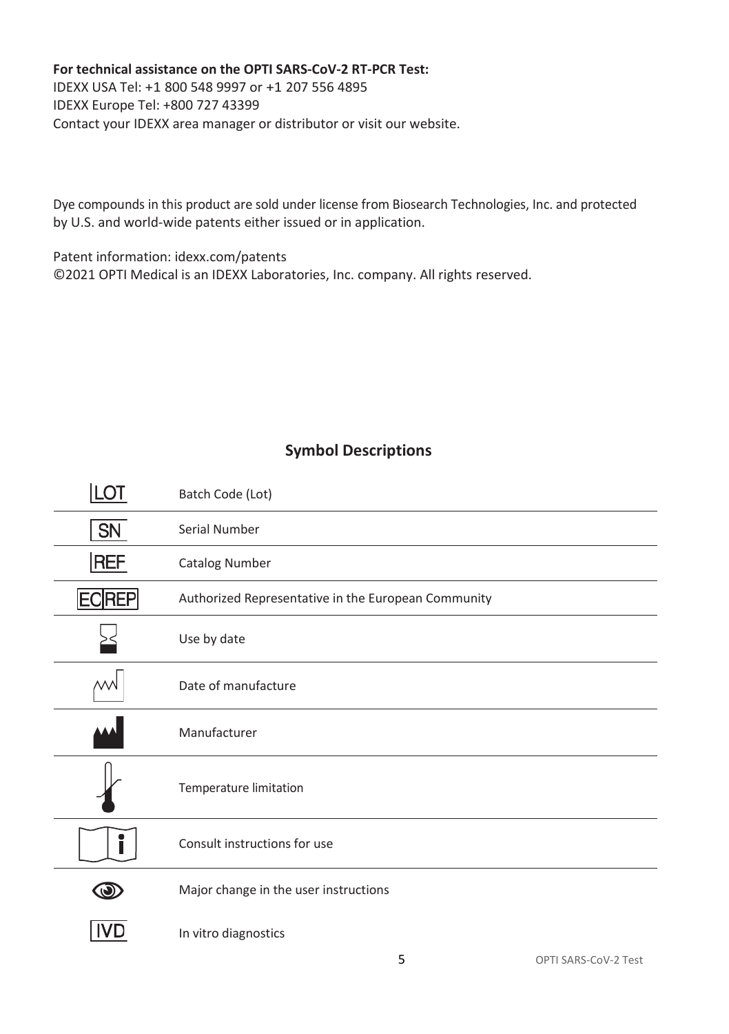#### **For technical assistance on the OPTI SARS-CoV-2 RT-PCR Test:**

IDEXX USA Tel: +1 800 548 9997 or +1 207 556 4895 IDEXX Europe Tel: +800 727 43399 Contact your IDEXX area manager or distributor or visit our website.

Dye compounds in this product are sold under license from Biosearch Technologies, Inc. and protected by U.S. and world-wide patents either issued or in application.

Patent information: idexx.com/patents ©2021 OPTI Medical is an IDEXX Laboratories, Inc. company. All rights reserved.

### **Symbol Descriptions**